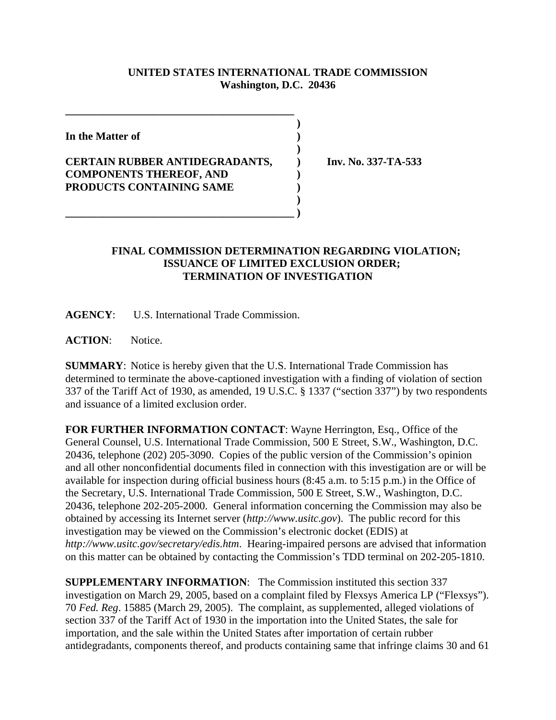## **UNITED STATES INTERNATIONAL TRADE COMMISSION Washington, D.C. 20436**

 **)**

 **)**

**In the Matter of )**

## **CERTAIN RUBBER ANTIDEGRADANTS, ) Inv. No. 337-TA-533 COMPONENTS THEREOF, AND ) PRODUCTS CONTAINING SAME )**

**\_\_\_\_\_\_\_\_\_\_\_\_\_\_\_\_\_\_\_\_\_\_\_\_\_\_\_\_\_\_\_\_\_\_\_\_\_\_\_\_\_\_ )**

 **)**

**\_\_\_\_\_\_\_\_\_\_\_\_\_\_\_\_\_\_\_\_\_\_\_\_\_\_\_\_\_\_\_\_\_\_\_\_\_\_\_\_\_\_**

## **FINAL COMMISSION DETERMINATION REGARDING VIOLATION; ISSUANCE OF LIMITED EXCLUSION ORDER; TERMINATION OF INVESTIGATION**

**AGENCY**: U.S. International Trade Commission.

**ACTION**: Notice.

**SUMMARY**: Notice is hereby given that the U.S. International Trade Commission has determined to terminate the above-captioned investigation with a finding of violation of section 337 of the Tariff Act of 1930, as amended, 19 U.S.C. § 1337 ("section 337") by two respondents and issuance of a limited exclusion order.

**FOR FURTHER INFORMATION CONTACT:** Wayne Herrington, Esq., Office of the General Counsel, U.S. International Trade Commission, 500 E Street, S.W., Washington, D.C. 20436, telephone (202) 205-3090. Copies of the public version of the Commission's opinion and all other nonconfidential documents filed in connection with this investigation are or will be available for inspection during official business hours (8:45 a.m. to 5:15 p.m.) in the Office of the Secretary, U.S. International Trade Commission, 500 E Street, S.W., Washington, D.C. 20436, telephone 202-205-2000. General information concerning the Commission may also be obtained by accessing its Internet server (*http://www.usitc.gov*). The public record for this investigation may be viewed on the Commission's electronic docket (EDIS) at *http://www.usitc.gov/secretary/edis.htm*. Hearing-impaired persons are advised that information on this matter can be obtained by contacting the Commission's TDD terminal on 202-205-1810.

**SUPPLEMENTARY INFORMATION**: The Commission instituted this section 337 investigation on March 29, 2005, based on a complaint filed by Flexsys America LP ("Flexsys"). 70 *Fed. Reg*. 15885 (March 29, 2005). The complaint, as supplemented, alleged violations of section 337 of the Tariff Act of 1930 in the importation into the United States, the sale for importation, and the sale within the United States after importation of certain rubber antidegradants, components thereof, and products containing same that infringe claims 30 and 61